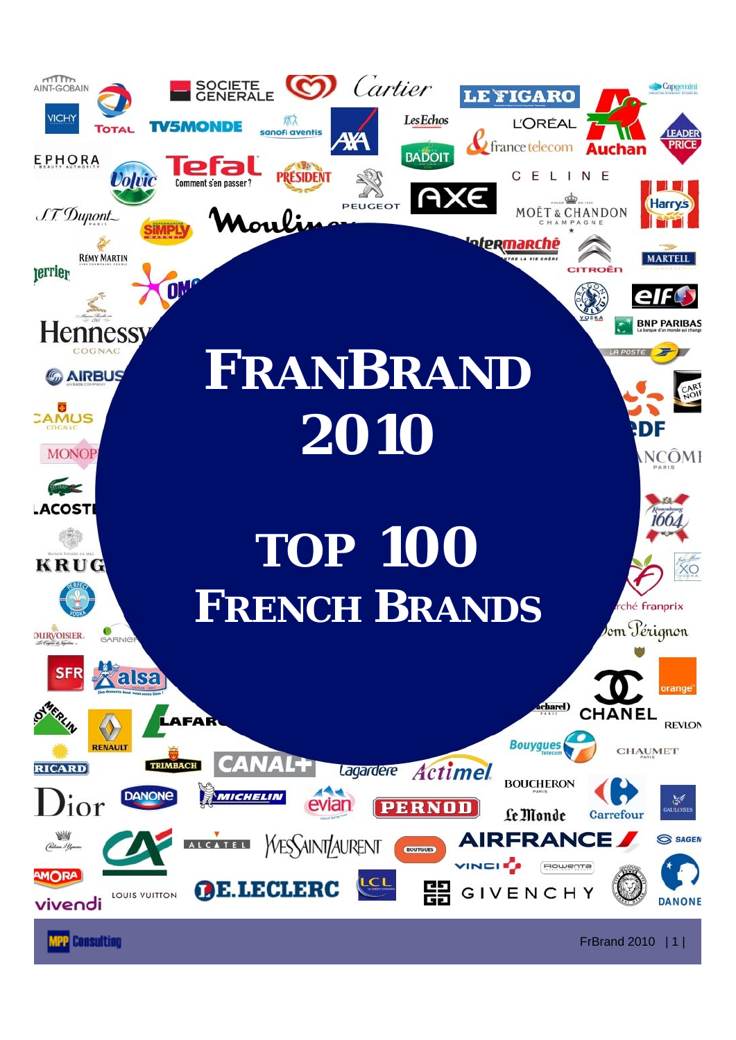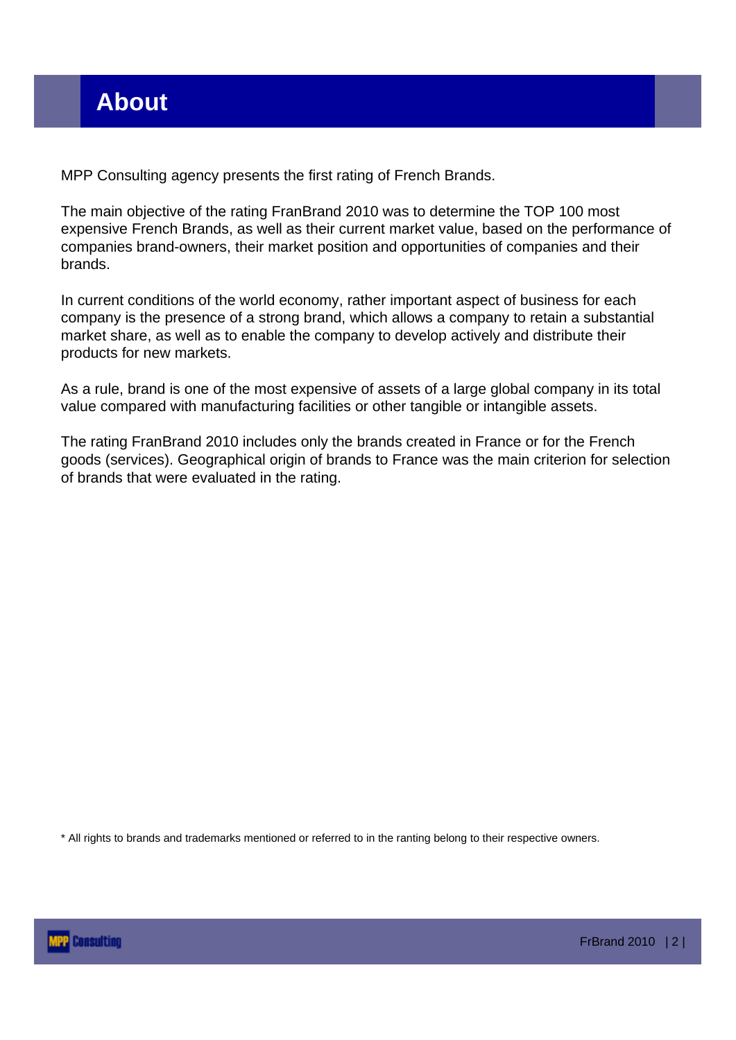MPP Consulting agency presents the first rating of French Brands.

The main objective of the rating FranBrand 2010 was to determine the TOP 100 most expensive French Brands, as well as their current market value, based on the performance of companies brand-owners, their market position and opportunities of companies and their brands.

In current conditions of the world economy, rather important aspect of business for each company is the presence of a strong brand, which allows a company to retain a substantial market share, as well as to enable the company to develop actively and distribute their products for new markets.

As a rule, brand is one of the most expensive of assets of a large global company in its total value compared with manufacturing facilities or other tangible or intangible assets.

The rating FranBrand 2010 includes only the brands created in France or for the French goods (services). Geographical origin of brands to France was the main criterion for selection of brands that were evaluated in the rating.

\* All rights to brands and trademarks mentioned or referred to in the ranting belong to their respective owners.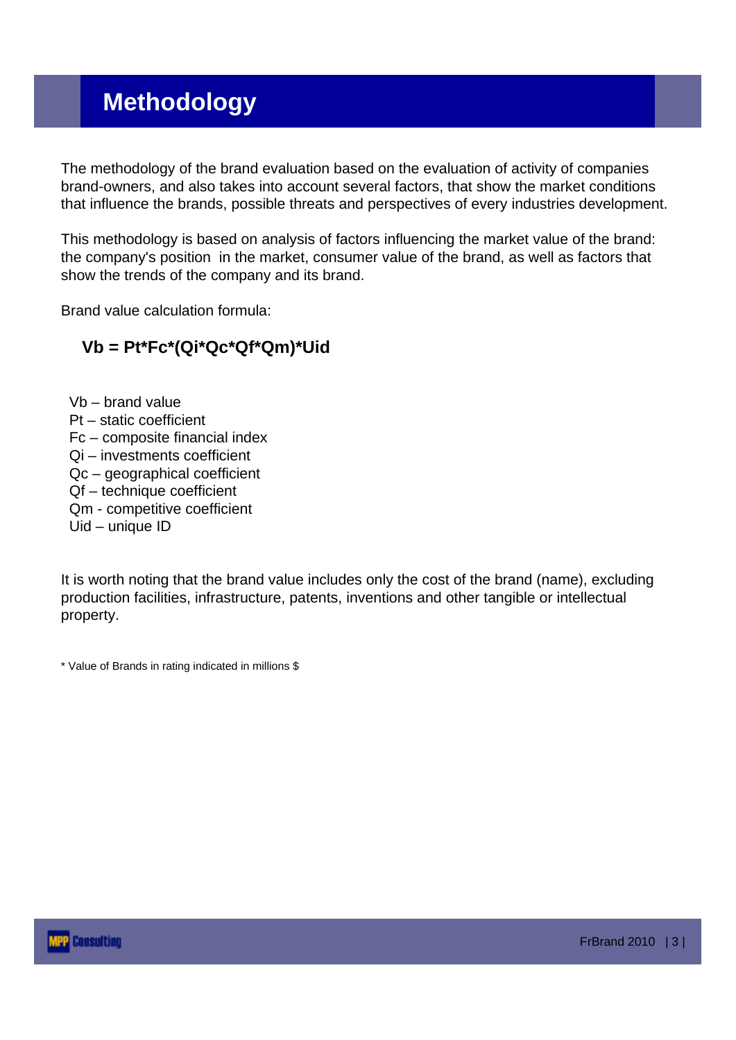## **Methodology**

The methodology of the brand evaluation based on the evaluation of activity of companies brand-owners, and also takes into account several factors, that show the market conditions that influence the brands, possible threats and perspectives of every industries development.

This methodology is based on analysis of factors influencing the market value of the brand: the company's position in the market, consumer value of the brand, as well as factors that show the trends of the company and its brand.

Brand value calculation formula:

#### **Vb = Pt\*Fc\*(Qi\*Qc\*Qf\*Qm)\*Uid**

Vb – brand value Pt – static coefficient Fc – composite financial index Qi – investments coefficient Qc – geographical coefficient Qf – technique coefficient Qm - competitive coefficient Uid – unique ID

It is worth noting that the brand value includes only the cost of the brand (name), excluding production facilities, infrastructure, patents, inventions and other tangible or intellectual property.

\* Value of Brands in rating indicated in millions \$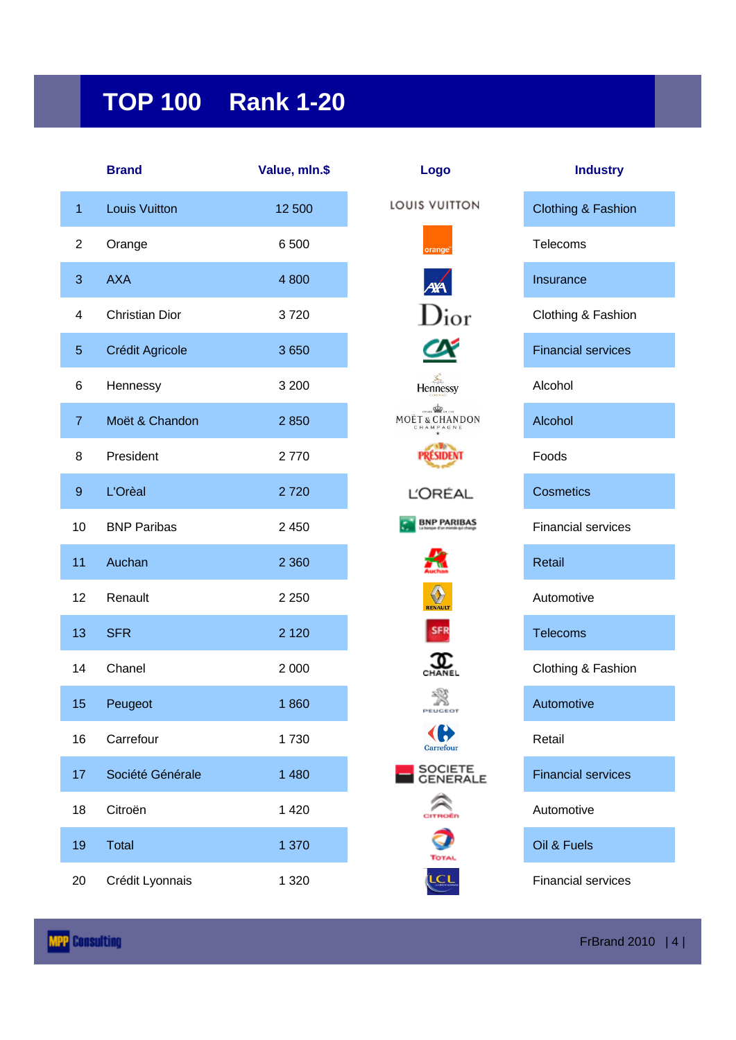# **TOP 100 Rank 1-20**

|                  | <b>Brand</b>          | Value, mln.\$ | Logo                                                         | <b>Industry</b>               |
|------------------|-----------------------|---------------|--------------------------------------------------------------|-------------------------------|
| 1                | <b>Louis Vuitton</b>  | 12 500        | LOUIS VUITTON                                                | <b>Clothing &amp; Fashion</b> |
| $\overline{c}$   | Orange                | 6 500         | orange <sup>®</sup>                                          | Telecoms                      |
| 3                | <b>AXA</b>            | 4 800         |                                                              | Insurance                     |
| 4                | <b>Christian Dior</b> | 3720          | $\rm{D}$ ior                                                 | Clothing & Fashion            |
| $\sqrt{5}$       | Crédit Agricole       | 3650          |                                                              | <b>Financial services</b>     |
| 6                | Hennessy              | 3 200         | $H$ ennessy                                                  | Alcohol                       |
| $\overline{7}$   | Moët & Chandon        | 2850          | $rac{1}{\sqrt{2}}$<br><b>MOËT &amp; CHANDON</b><br>CHAMPAGNE | Alcohol                       |
| 8                | President             | 2770          |                                                              | Foods                         |
| $\boldsymbol{9}$ | L'Orèal               | 2720          | <b>L'ORÉAL</b>                                               | <b>Cosmetics</b>              |
| 10               | <b>BNP Paribas</b>    | 2 4 5 0       | <b>BNP PARIBAS</b>                                           | <b>Financial services</b>     |
| 11               | Auchan                | 2 3 6 0       |                                                              | Retail                        |
| 12               | Renault               | 2 2 5 0       | $\Diamond$<br><b>RENAULT</b>                                 | Automotive                    |
| 13               | <b>SFR</b>            | 2 1 2 0       |                                                              | <b>Telecoms</b>               |
| 14               | Chanel                | 2 0 0 0       |                                                              | Clothing & Fashion            |
| 15               | Peugeot               | 1860          | PEUGEOT                                                      | Automotive                    |
| 16               | Carrefour             | 1730          | Carrefour                                                    | Retail                        |
| 17               | Société Générale      | 1 4 8 0       | SOCIETE<br>GENERALE                                          | <b>Financial services</b>     |
| 18               | Citroën               | 1 4 2 0       |                                                              | Automotive                    |
| 19               | <b>Total</b>          | 1 370         | <b>TOTA</b>                                                  | Oil & Fuels                   |
| 20               | Crédit Lyonnais       | 1 3 2 0       | LCL                                                          | <b>Financial services</b>     |

| Logo                      |
|---------------------------|
| <b>UIS VUITTON</b>        |
| orange <sup>"</sup>       |
| $\overline{\mathbf{X}}$   |
| $\mathbf{y}_{\text{ior}}$ |
| Ŋ<br>$\mathbf C$          |
| Hennessy                  |
| OET&CHANDON               |
| <b>PRESIDENT</b>          |
| <b>L'ORÉAL</b>            |
| <b>BNP PARIBAS</b>        |
|                           |
|                           |
|                           |
| r<br>IEL                  |
| 嗠<br>ю<br>DΥ              |
| Carref<br>nr              |
| SOCIETE                   |
| é<br>é                    |
|                           |
| ίLο                       |

| <b>Industry</b>   |
|-------------------|
| lothing & Fashion |
| elecoms           |
| isurance          |
| lothing & Fashion |
| inancial services |
| Icohol            |
| Icohol            |
| oods              |
| osmetics          |
| inancial services |
| etail             |
| utomotive         |
| elecoms           |
| lothing & Fashion |
| utomotive         |
| etail             |
| inancial services |
| utomotive         |
| il & Fuels        |
|                   |

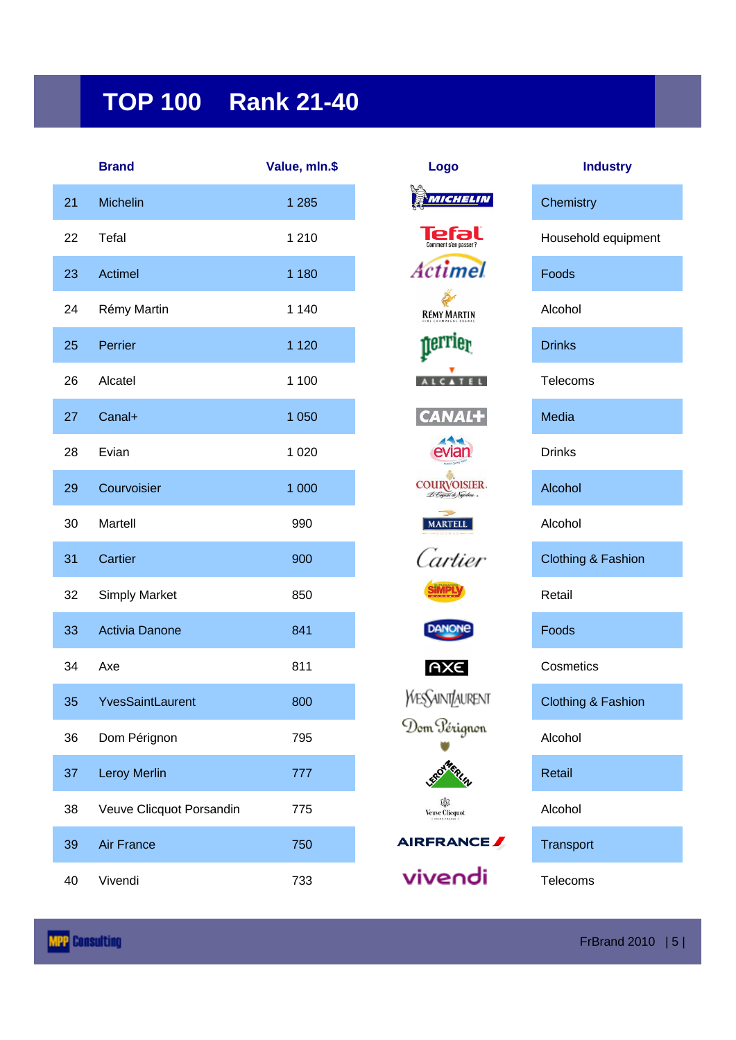## **TOP 100 Rank 21-40**

|    | <b>Brand</b>             | Value, mln.\$ | Logo                                  | <b>Industry</b>               |
|----|--------------------------|---------------|---------------------------------------|-------------------------------|
| 21 | Michelin                 | 1 2 8 5       | MICHELIN                              | Chemistry                     |
| 22 | Tefal                    | 1 2 1 0       | Р<br>Comment s'en passer'             | Household equipment           |
| 23 | Actimel                  | 1 1 8 0       | <b>Actimel</b>                        | Foods                         |
| 24 | Rémy Martin              | 1 1 4 0       | <b>RÉMY MARTIN</b>                    | Alcohol                       |
| 25 | Perrier                  | 1 1 2 0       | nerrier                               | <b>Drinks</b>                 |
| 26 | Alcatel                  | 1 100         | CATEL                                 | Telecoms                      |
| 27 | Canal+                   | 1 0 5 0       | <b>CANAL+</b>                         | Media                         |
| 28 | Evian                    | 1 0 2 0       |                                       | <b>Drinks</b>                 |
| 29 | Courvoisier              | 1 0 0 0       | COURVOISIER .<br>Le Cognai de Sapolum | Alcohol                       |
| 30 | Martell                  | 990           | <b>MARTELL</b>                        | Alcohol                       |
| 31 | Cartier                  | 900           | Cartier                               | <b>Clothing &amp; Fashion</b> |
| 32 | <b>Simply Market</b>     | 850           |                                       | Retail                        |
| 33 | <b>Activia Danone</b>    | 841           | <b>DANONE</b>                         | Foods                         |
| 34 | Axe                      | 811           | <b>AXE</b>                            | Cosmetics                     |
| 35 | <b>YvesSaintLaurent</b>  | 800           | <b>YVESSAINT/AURENT</b>               | <b>Clothing &amp; Fashion</b> |
| 36 | Dom Pérignon             | 795           | Dom Pérignon                          | Alcohol                       |
| 37 | <b>Leroy Merlin</b>      | 777           |                                       | Retail                        |
| 38 | Veuve Clicquot Porsandin | 775           | 趣<br><b>Veuve Clicquot</b>            | Alcohol                       |
| 39 | <b>Air France</b>        | 750           | AIRFRANCE                             | Transport                     |
| 40 | Vivendi                  | 733           | vivendi                               | Telecoms                      |

| Logo                                    | Indu          |
|-----------------------------------------|---------------|
| MICHELIN                                | Chemistry     |
| Comment s'en passer?                    | Household e   |
| tctimel                                 | Foods         |
| <b>RÉMY MARTIN</b>                      | Alcohol       |
| erri<br>19l                             | <b>Drinks</b> |
|                                         | Telecoms      |
| $\frac{1}{2}$                           | Media         |
|                                         | <b>Drinks</b> |
| COURVOISIER.<br>Le Cognac de Napolion » | Alcohol       |
| <b>MARTELL</b>                          | Alcohol       |
| Cartier                                 | Clothing & F  |
|                                         | Retail        |
| <b>DANONE</b>                           | Foods         |
| AXE                                     | Cosmetics     |
| :SAINT/AURENT                           | Clothing & F  |
| om Pérignon                             | Alcohol       |
| E <sup>ROTMERIA</sup>                   | Retail        |
| 逾<br><b>Veuve Clicquot</b>              | Alcohol       |
| RERANCE                                 | Transport     |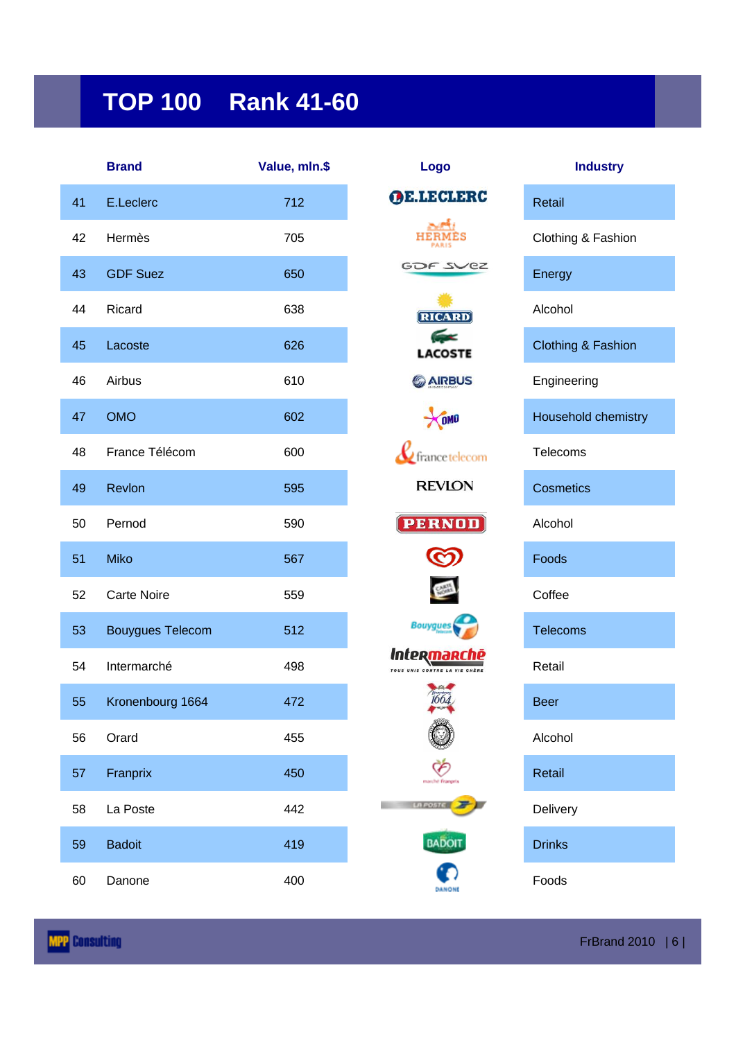# **TOP 100 Rank 41-60**

|    | <b>Brand</b>            | Value, mln.\$ | Logo                              | <b>Industry</b>     |
|----|-------------------------|---------------|-----------------------------------|---------------------|
| 41 | E.Leclerc               | 712           | <b>OE.LECLERC</b>                 | Retail              |
| 42 | Hermès                  | 705           |                                   | Clothing & Fashion  |
| 43 | <b>GDF Suez</b>         | 650           | GOF SVEZ                          | Energy              |
| 44 | Ricard                  | 638           | RICARD                            | Alcohol             |
| 45 | Lacoste                 | 626           | <b>Contract</b><br><b>LACOSTE</b> | Clothing & Fashion  |
| 46 | Airbus                  | 610           | <b>GAIRBUS</b>                    | Engineering         |
| 47 | <b>OMO</b>              | 602           | <b>OMO</b>                        | Household chemistry |
| 48 | France Télécom          | 600           | $\mathcal U$ france telecom       | Telecoms            |
| 49 | Revlon                  | 595           | <b>REVION</b>                     | <b>Cosmetics</b>    |
| 50 | Pernod                  | 590           | <b>PERNOD</b>                     | Alcohol             |
| 51 | <b>Miko</b>             | 567           |                                   | Foods               |
| 52 | <b>Carte Noire</b>      | 559           |                                   | Coffee              |
| 53 | <b>Bouygues Telecom</b> | 512           | <b>Bouygues</b>                   | <b>Telecoms</b>     |
| 54 | Intermarché             | 498           | Interma                           | Retail              |
| 55 | Kronenbourg 1664        | 472           |                                   | <b>Beer</b>         |
| 56 | Orard                   | 455           |                                   | Alcohol             |
| 57 | Franprix                | 450           | marché frampri                    | Retail              |
| 58 | La Poste                | 442           | <b>LA POSTE</b>                   | Delivery            |
| 59 | <b>Badoit</b>           | 419           | <b>BADOIT</b>                     | <b>Drinks</b>       |
| 60 | Danone                  | 400           |                                   | Foods               |

| Logo                                                |
|-----------------------------------------------------|
| E.LECLERC                                           |
| <b>HERMES</b>                                       |
| GOF <sub>S</sub>                                    |
| <b>RICARD</b>                                       |
| G×<br><b>LACOSTE</b>                                |
| <b>6 AIRBUS</b>                                     |
| $\chi_{0M0}$                                        |
| $\ell$ france telecom                               |
| <b>REVLON</b>                                       |
| <b>PERNOD</b>                                       |
| ග                                                   |
| <b>CANAL</b>                                        |
| <b>Bouygues</b>                                     |
| nter <mark>marche</mark><br>"" "" "" "" "" "" "" "" |
| 1664                                                |
|                                                     |
|                                                     |
|                                                     |



| Clothing & Fashion            |
|-------------------------------|
| Energy                        |
| Alcohol                       |
| <b>Clothing &amp; Fashion</b> |
| Engineering                   |
| Household chemistry           |
| Telecoms                      |
| Cosmetics                     |
| Alcohol                       |
| Foods                         |
| Coffee                        |
| Telecoms                      |
| Retail                        |
| Beer                          |
| Alcohol                       |
| Retail                        |
| Delivery                      |
| <b>Drinks</b>                 |

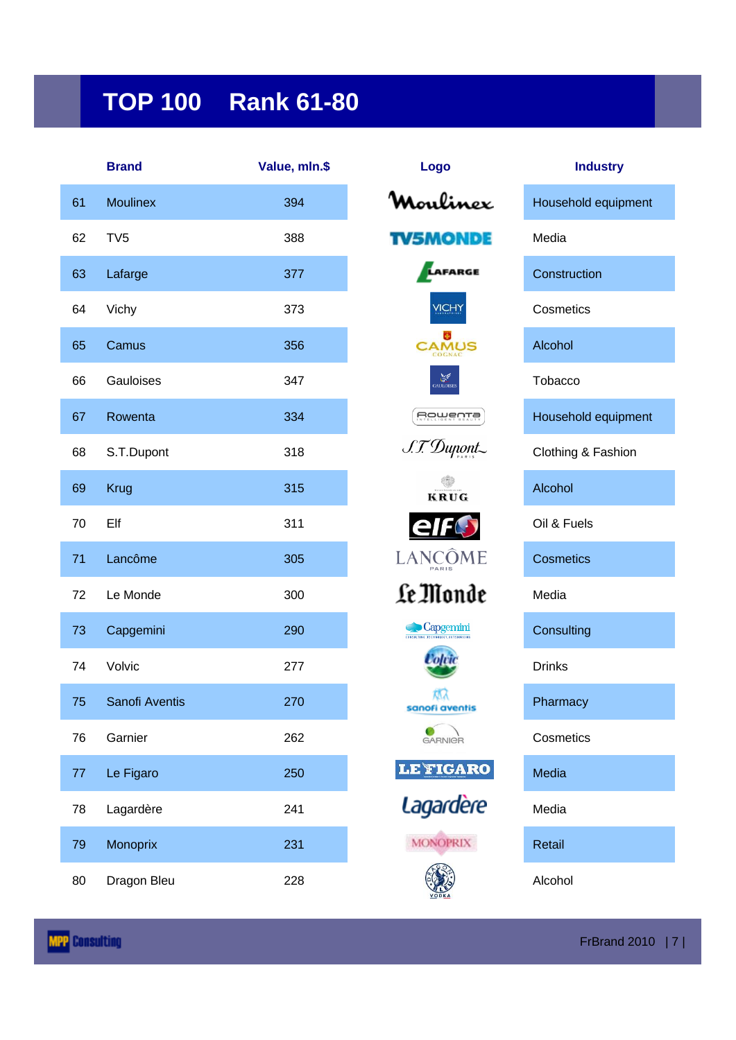## **TOP 100 Rank 61-80**

|    | <b>Brand</b>    | Value, mln.\$ | Logo                    | <b>Industry</b>    |
|----|-----------------|---------------|-------------------------|--------------------|
| 61 | <b>Moulinex</b> | 394           | milinox                 | Household equipm   |
| 62 | TV <sub>5</sub> | 388           | TV5MONDE                | Media              |
| 63 | Lafarge         | 377           | LAFARGE                 | Construction       |
| 64 | Vichy           | 373           | VICHY                   | Cosmetics          |
| 65 | Camus           | 356           | <b>CAMUS</b>            | Alcohol            |
| 66 | Gauloises       | 347           | <b>ANE</b><br>GAULOISES | Tobacco            |
| 67 | Rowenta         | 334           | Rowenta                 | Household equipm   |
| 68 | S.T.Dupont      | 318           | S.T. Dupont             | Clothing & Fashion |
| 69 | <b>Krug</b>     | 315           | KRUG                    | Alcohol            |
| 70 | Elf             | 311           | elfC                    | Oil & Fuels        |
| 71 | Lancôme         | 305           | LANCOME                 | <b>Cosmetics</b>   |
| 72 | Le Monde        | 300           | Le Monde                | Media              |
| 73 | Capgemini       | 290           | Capgemini               | Consulting         |
| 74 | Volvic          | 277           |                         | <b>Drinks</b>      |
| 75 | Sanofi Aventis  | 270           | sanofi aventis          | Pharmacy           |
| 76 | Garnier         | 262           | <b>GARNIGR</b>          | Cosmetics          |
| 77 | Le Figaro       | 250           | <b>LE FIGARO</b>        | Media              |
| 78 | Lagardère       | 241           | Lagardère               | Media              |
| 79 | Monoprix        | 231           | <b>MONOPRIX</b>         | Retail             |
| 80 | Dragon Bleu     | 228           |                         | Alcohol            |

| Logo                                                      | <b>Industry</b>     |  |
|-----------------------------------------------------------|---------------------|--|
| Mouli<br>nex                                              | Household equipment |  |
| V5MONDE                                                   | Media               |  |
| AFARGE                                                    | Construction        |  |
|                                                           | Cosmetics           |  |
|                                                           | Alcohol             |  |
| <b>ANS</b>                                                | Tobacco             |  |
| <u>Boweurs</u>                                            | Household equipment |  |
| S.T. Dupont.                                              | Clothing & Fashion  |  |
| KRUG                                                      | Alcohol             |  |
| elfC                                                      | Oil & Fuels         |  |
| LANCOME                                                   | <b>Cosmetics</b>    |  |
| Le Monde                                                  | Media               |  |
| $\bigcirc$ Capgemini<br>CONSULTING.TECHNOLOGY.OUTSOURCING | Consulting          |  |
|                                                           | Drinks              |  |
| 枫<br>sanofi aventis                                       | Pharmacy            |  |
| GARNIGR                                                   | Cosmetics           |  |
| <b>LE FIGARO</b>                                          | Media               |  |
| Lagardère                                                 | Media               |  |
| <b>MONOPRIX</b>                                           | Retail              |  |
|                                                           | Alcohol             |  |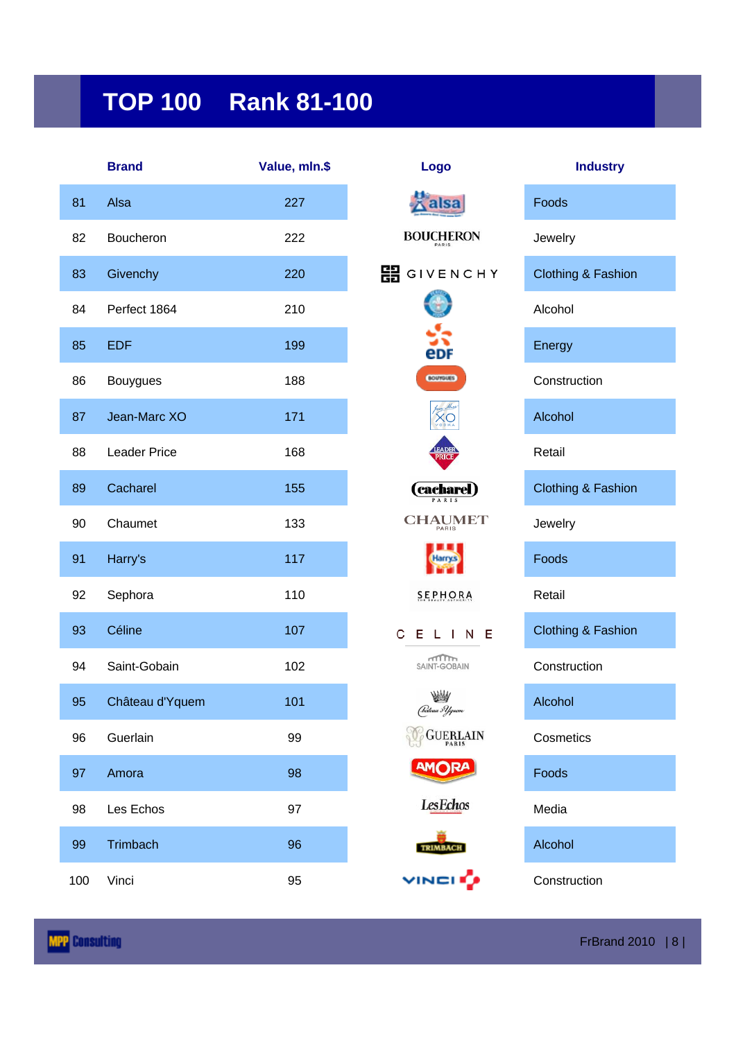## **TOP 100 Rank 81-100**

|     | <b>Brand</b>    | Value, mln.\$ | Logo                    | <b>Industry</b>               |
|-----|-----------------|---------------|-------------------------|-------------------------------|
| 81  | Alsa            | 227           | alsa                    | Foods                         |
| 82  | Boucheron       | 222           | <b>BOUCHERON</b>        | Jewelry                       |
| 83  | Givenchy        | 220           | 開<br>GIVENCHY           | <b>Clothing &amp; Fashion</b> |
| 84  | Perfect 1864    | 210           |                         | Alcohol                       |
| 85  | <b>EDF</b>      | 199           | edf                     | Energy                        |
| 86  | <b>Bouygues</b> | 188           | <b>BOUYQUES</b>         | Construction                  |
| 87  | Jean-Marc XO    | 171           | XС                      | Alcohol                       |
| 88  | Leader Price    | 168           | <b>LEADER</b>           | Retail                        |
| 89  | Cacharel        | 155           | <b>Cacharel</b>         | <b>Clothing &amp; Fashion</b> |
| 90  | Chaumet         | 133           | <b>CHAUMET</b><br>PARIS | Jewelry                       |
| 91  | Harry's         | 117           | Harry's                 | Foods                         |
| 92  | Sephora         | 110           | SEPHORA                 | Retail                        |
| 93  | Céline          | 107           | С<br>ELINE              | <b>Clothing &amp; Fashion</b> |
| 94  | Saint-Gobain    | 102           | mTTTTm<br>SAINT-GOBAIN  | Construction                  |
| 95  | Château d'Yquem | 101           | AW<br>(Práteau 3 Yyuem  | Alcohol                       |
| 96  | Guerlain        | 99            | <b>GUERLAIN</b>         | Cosmetics                     |
| 97  | Amora           | 98            | <b>AMORA</b>            | Foods                         |
| 98  | Les Echos       | 97            | <b>Les</b> Echos        | Media                         |
| 99  | Trimbach        | 96            | <b>TRIMBACH</b>         | Alcohol                       |
| 100 | Vinci           | 95            | VINCI O                 | Construction                  |

| Logo                    | <b>Industry</b>               |
|-------------------------|-------------------------------|
| lsa                     | Foods                         |
| <b>BOUCHERON</b>        | Jewelry                       |
| L<br>GIVENCHY           | <b>Clothing &amp; Fashion</b> |
|                         | Alcohol                       |
|                         | Energy                        |
| <b>BOUYOUES</b>         | Construction                  |
|                         | Alcohol                       |
| <b>\DEF</b>             | Retail                        |
| (cacharel )             | <b>Clothing &amp; Fashion</b> |
| <b>CHAUMET</b><br>PARIS | Jewelry                       |
|                         | Foods                         |
| <b>SEPHORA</b>          | Retail                        |
| C E I<br>LINE           | <b>Clothing &amp; Fashion</b> |
| millim<br>SAINT-GOBAIN  | Construction                  |
| (Práteau 3 Yguem        | Alcohol                       |
| <b>GUERLAIN</b>         | Cosmetics                     |
| AMORA                   | Foods                         |
| <b>LesEchos</b>         | Media                         |
| <b>TRIMBACH</b>         | Alcohol                       |
| VINCI I <mark>u</mark>  | Construction                  |